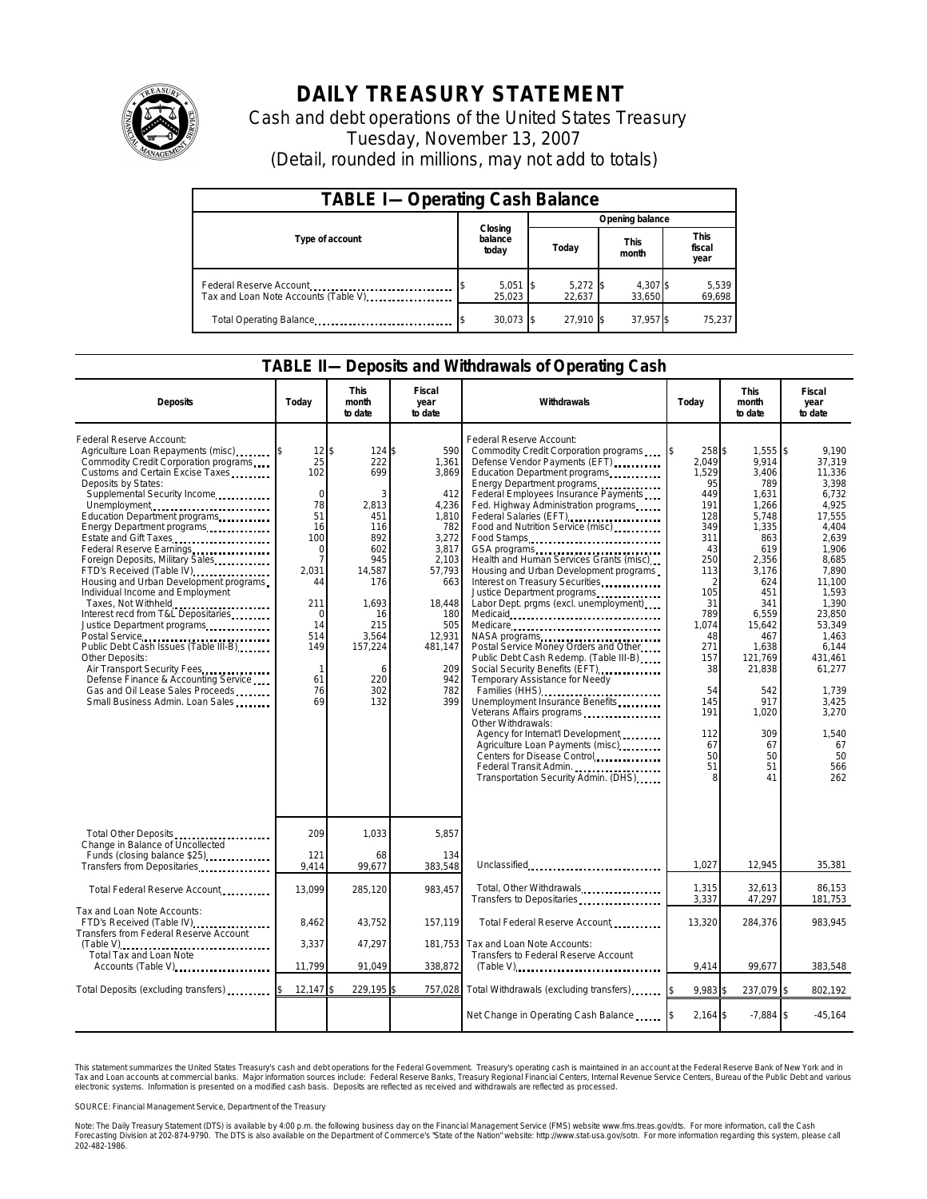

## **DAILY TREASURY STATEMENT**

Cash and debt operations of the United States Treasury Tuesday, November 13, 2007 (Detail, rounded in millions, may not add to totals)

| <b>TABLE I-Operating Cash Balance</b>                           |  |                             |  |                      |  |                      |  |                               |  |
|-----------------------------------------------------------------|--|-----------------------------|--|----------------------|--|----------------------|--|-------------------------------|--|
| Type of account                                                 |  | Closing<br>balance<br>today |  | Opening balance      |  |                      |  |                               |  |
|                                                                 |  |                             |  | Today                |  | <b>This</b><br>month |  | <b>This</b><br>fiscal<br>year |  |
| Federal Reserve Account<br>Tax and Loan Note Accounts (Table V) |  | 5,051<br>25.023             |  | $5,272$ \$<br>22.637 |  | 4.307 \$<br>33,650   |  | 5,539<br>69,698               |  |
| Total Operating Balance                                         |  | $30,073$ \$                 |  | 27.910 \$            |  | 37,957 \$            |  | 75,237                        |  |

## **TABLE II—Deposits and Withdrawals of Operating Cash**

| <b>Deposits</b>                                                                                                                                                                                                                                                                                                                                                                                                                                                                                                                                                                                                                                                                                                                                                                                                     | Today                                                                                                                                                                                    | <b>This</b><br>month<br>to date                                                                                                                            | Fiscal<br>year<br>to date                                                                                                                                                  | Withdrawals                                                                                                                                                                                                                                                                                                                                                                                                                                                                                                                                                                                                                                                                                                                                                                                                                                                                                                                                                                                                  | Today                                                                                                                                                                                               | <b>This</b><br>month<br>to date                                                                                                                                                                                                            | Fiscal<br>year<br>to date                                                                                                                                                                                                                                        |
|---------------------------------------------------------------------------------------------------------------------------------------------------------------------------------------------------------------------------------------------------------------------------------------------------------------------------------------------------------------------------------------------------------------------------------------------------------------------------------------------------------------------------------------------------------------------------------------------------------------------------------------------------------------------------------------------------------------------------------------------------------------------------------------------------------------------|------------------------------------------------------------------------------------------------------------------------------------------------------------------------------------------|------------------------------------------------------------------------------------------------------------------------------------------------------------|----------------------------------------------------------------------------------------------------------------------------------------------------------------------------|--------------------------------------------------------------------------------------------------------------------------------------------------------------------------------------------------------------------------------------------------------------------------------------------------------------------------------------------------------------------------------------------------------------------------------------------------------------------------------------------------------------------------------------------------------------------------------------------------------------------------------------------------------------------------------------------------------------------------------------------------------------------------------------------------------------------------------------------------------------------------------------------------------------------------------------------------------------------------------------------------------------|-----------------------------------------------------------------------------------------------------------------------------------------------------------------------------------------------------|--------------------------------------------------------------------------------------------------------------------------------------------------------------------------------------------------------------------------------------------|------------------------------------------------------------------------------------------------------------------------------------------------------------------------------------------------------------------------------------------------------------------|
| Federal Reserve Account:<br>Agriculture Loan Repayments (misc)<br>Commodity Credit Corporation programs<br>Customs and Certain Excise Taxes<br>Deposits by States:<br>Supplemental Security Income<br>Unemployment<br>Education Department programs<br>Energy Department programs<br>Estate and Gift Taxes<br>Federal Reserve Earnings<br>Foreign Deposits, Military Sales<br>FTD's Received (Table IV)<br>Housing and Urban Development programs<br>Individual Income and Employment<br>Taxes, Not Withheld<br>Interest recd from T&L Depositaries<br>Justice Department programs<br>Postal Service<br>Public Debt Cash Issues (Table III-B)<br><br>Other Deposits:<br>Air Transport Security Fees<br>Defense Finance & Accounting Service<br>Gas and Oil Lease Sales Proceeds<br>Small Business Admin. Loan Sales | $12$ \$<br>25<br>102<br>$\mathbf 0$<br>78<br>51<br>16<br>100<br>$\mathbf 0$<br>$\overline{7}$<br>2,031<br>44<br>211<br>$\mathbf 0$<br>14<br>514<br>149<br>$\mathbf{1}$<br>61<br>76<br>69 | 124 \$<br>222<br>699<br>3<br>2,813<br>451<br>116<br>892<br>602<br>945<br>14,587<br>176<br>1,693<br>16<br>215<br>3,564<br>157,224<br>6<br>220<br>302<br>132 | 590<br>1.361<br>3,869<br>412<br>4,236<br>1,810<br>782<br>3,272<br>3,817<br>2,103<br>57,793<br>663<br>18,448<br>180<br>505<br>12,931<br>481,147<br>209<br>942<br>782<br>399 | Federal Reserve Account:<br>Commodity Credit Corporation programs<br>Defense Vendor Payments (EFT)<br>Education Department programs<br>Energy Department programs<br>Federal Employees Insurance Payments<br>Fed. Highway Administration programs<br>Federal Salaries (EFT)<br>Food and Nutrition Service (misc)<br>Food Stamps<br>Health and Human Services Grants (misc)<br>Housing and Urban Development programs<br>Interest on Treasury Securities<br>Justice Department programs<br>Labor Dept. prgms (excl. unemployment)<br>Medicare<br>Postal Service Money Orders and Other<br>Public Debt Cash Redemp. (Table III-B)<br>Social Security Benefits (EFT)<br><br>Temporary Assistance for Needy<br>Families (HHS)<br>Families (HHS)<br>Unemployment Insurance Benefits<br>Veterans Affairs programs<br>Other Withdrawals:<br>Agency for Internat'l Development.<br>Agriculture Loan Payments (misc)<br>Centers for Disease Control<br>Federal Transit Admin.<br>Transportation Security Admin. (DHS) | 258 \$<br>2.049<br>1,529<br>95<br>449<br>191<br>128<br>349<br>311<br>43<br>250<br>113<br>2<br>105<br>31<br>789<br>1,074<br>48<br>271<br>157<br>38<br>54<br>145<br>191<br>112<br>67<br>50<br>51<br>8 | $1,555$ \$<br>9.914<br>3,406<br>789<br>1,631<br>1,266<br>5.748<br>1,335<br>863<br>619<br>2,356<br>3,176<br>624<br>451<br>341<br>6,559<br>15,642<br>467<br>1,638<br>121,769<br>21,838<br>542<br>917<br>1,020<br>309<br>67<br>50<br>51<br>41 | 9.190<br>37.319<br>11,336<br>3.398<br>6,732<br>4,925<br>17,555<br>4.404<br>2,639<br>1,906<br>8,685<br>7.890<br>11.100<br>1.593<br>1.390<br>23,850<br>53,349<br>1,463<br>6,144<br>431.461<br>61,277<br>1,739<br>3,425<br>3,270<br>1.540<br>67<br>50<br>566<br>262 |
| Total Other Deposits<br>Change in Balance of Uncollected<br>Funds (closing balance \$25)                                                                                                                                                                                                                                                                                                                                                                                                                                                                                                                                                                                                                                                                                                                            | 209<br>121                                                                                                                                                                               | 1,033<br>68                                                                                                                                                | 5.857<br>134                                                                                                                                                               |                                                                                                                                                                                                                                                                                                                                                                                                                                                                                                                                                                                                                                                                                                                                                                                                                                                                                                                                                                                                              |                                                                                                                                                                                                     |                                                                                                                                                                                                                                            |                                                                                                                                                                                                                                                                  |
| Transfers from Depositaries                                                                                                                                                                                                                                                                                                                                                                                                                                                                                                                                                                                                                                                                                                                                                                                         | 9,414                                                                                                                                                                                    | 99,677                                                                                                                                                     | 383,548                                                                                                                                                                    | Unclassified                                                                                                                                                                                                                                                                                                                                                                                                                                                                                                                                                                                                                                                                                                                                                                                                                                                                                                                                                                                                 | 1.027                                                                                                                                                                                               | 12.945                                                                                                                                                                                                                                     | 35,381                                                                                                                                                                                                                                                           |
| Total Federal Reserve Account                                                                                                                                                                                                                                                                                                                                                                                                                                                                                                                                                                                                                                                                                                                                                                                       | 13,099                                                                                                                                                                                   | 285,120                                                                                                                                                    | 983,457                                                                                                                                                                    | Total, Other Withdrawals<br>Transfers to Depositaries                                                                                                                                                                                                                                                                                                                                                                                                                                                                                                                                                                                                                                                                                                                                                                                                                                                                                                                                                        | 1,315<br>3,337                                                                                                                                                                                      | 32,613<br>47,297                                                                                                                                                                                                                           | 86,153<br>181,753                                                                                                                                                                                                                                                |
| Tax and Loan Note Accounts:<br>FTD's Received (Table IV)<br>Transfers from Federal Reserve Account<br>(Table V)<br>Total Tax and Loan Note<br>Accounts (Table V)                                                                                                                                                                                                                                                                                                                                                                                                                                                                                                                                                                                                                                                    | 8.462                                                                                                                                                                                    | 43.752                                                                                                                                                     | 157.119                                                                                                                                                                    | Total Federal Reserve Account                                                                                                                                                                                                                                                                                                                                                                                                                                                                                                                                                                                                                                                                                                                                                                                                                                                                                                                                                                                | 13,320                                                                                                                                                                                              | 284,376                                                                                                                                                                                                                                    | 983.945                                                                                                                                                                                                                                                          |
|                                                                                                                                                                                                                                                                                                                                                                                                                                                                                                                                                                                                                                                                                                                                                                                                                     | 3,337                                                                                                                                                                                    | 47,297                                                                                                                                                     |                                                                                                                                                                            | 181,753 Tax and Loan Note Accounts:<br>Transfers to Federal Reserve Account                                                                                                                                                                                                                                                                                                                                                                                                                                                                                                                                                                                                                                                                                                                                                                                                                                                                                                                                  |                                                                                                                                                                                                     |                                                                                                                                                                                                                                            |                                                                                                                                                                                                                                                                  |
|                                                                                                                                                                                                                                                                                                                                                                                                                                                                                                                                                                                                                                                                                                                                                                                                                     | 11,799                                                                                                                                                                                   | 91,049                                                                                                                                                     | 338,872                                                                                                                                                                    | $(Table V)$                                                                                                                                                                                                                                                                                                                                                                                                                                                                                                                                                                                                                                                                                                                                                                                                                                                                                                                                                                                                  | 9,414                                                                                                                                                                                               | 99,677                                                                                                                                                                                                                                     | 383,548                                                                                                                                                                                                                                                          |
| Total Deposits (excluding transfers)                                                                                                                                                                                                                                                                                                                                                                                                                                                                                                                                                                                                                                                                                                                                                                                | $12,147$ \$                                                                                                                                                                              | 229,195 \$                                                                                                                                                 | 757,028                                                                                                                                                                    | Total Withdrawals (excluding transfers)                                                                                                                                                                                                                                                                                                                                                                                                                                                                                                                                                                                                                                                                                                                                                                                                                                                                                                                                                                      | 9.983                                                                                                                                                                                               | 237,079 \$                                                                                                                                                                                                                                 | 802,192                                                                                                                                                                                                                                                          |
|                                                                                                                                                                                                                                                                                                                                                                                                                                                                                                                                                                                                                                                                                                                                                                                                                     |                                                                                                                                                                                          |                                                                                                                                                            |                                                                                                                                                                            | Net Change in Operating Cash Balance                                                                                                                                                                                                                                                                                                                                                                                                                                                                                                                                                                                                                                                                                                                                                                                                                                                                                                                                                                         | $2,164$ \$                                                                                                                                                                                          | $-7,884$ \$                                                                                                                                                                                                                                | $-45,164$                                                                                                                                                                                                                                                        |

This statement summarizes the United States Treasury's cash and debt operations for the Federal Government. Treasury's operating cash is maintained in an account at the Federal Reserve Bank of New York and in<br>Tax and Loan narizes the United States Treasury's cash and debt operations for the Federal Government. Treasury's operating cash is maintained in an account at the Federal Reserve Bank of New York and in<br>nts at commercial banks. Major

SOURCE: Financial Management Service, Department of the Treasury

Note: The Daily Treasury Statement (DTS) is available by 4:00 p.m. the following business day on the Financial Management Service (FMS) website www.fms.treas.gov/dts. For more information, call the Cash<br>Forecasting Divisio 202-482-1986.